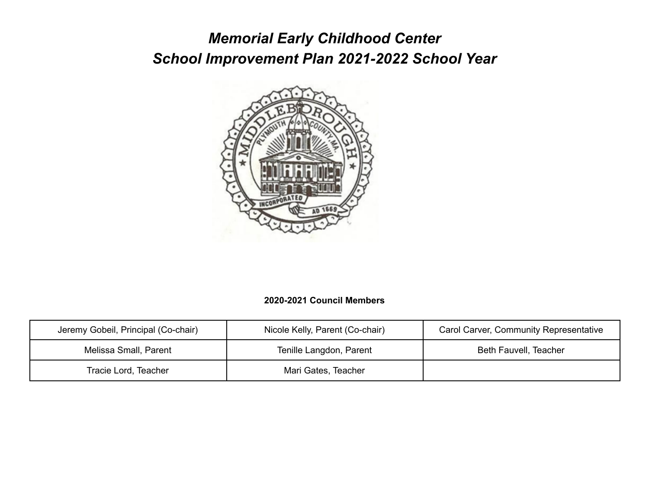# *Memorial Early Childhood Center School Improvement Plan 2021-2022 School Year*



### **2020-2021 Council Members**

| Jeremy Gobeil, Principal (Co-chair) | Nicole Kelly, Parent (Co-chair) | <b>Carol Carver, Community Representative</b> |
|-------------------------------------|---------------------------------|-----------------------------------------------|
| Melissa Small, Parent               | Tenille Langdon, Parent         | Beth Fauvell, Teacher                         |
| Tracie Lord, Teacher                | Mari Gates, Teacher             |                                               |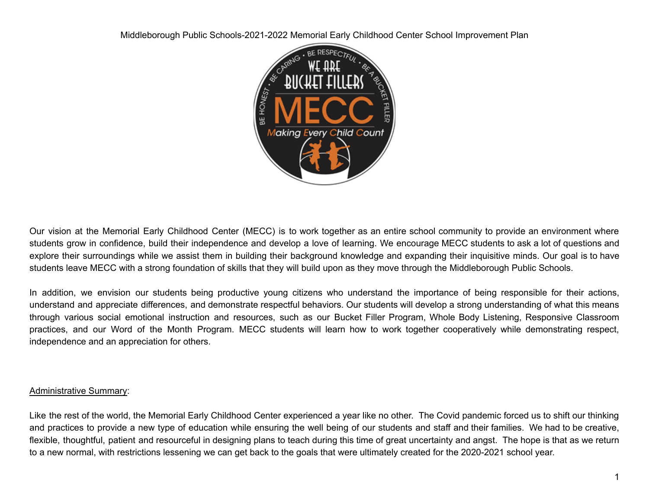

Our vision at the Memorial Early Childhood Center (MECC) is to work together as an entire school community to provide an environment where students grow in confidence, build their independence and develop a love of learning. We encourage MECC students to ask a lot of questions and explore their surroundings while we assist them in building their background knowledge and expanding their inquisitive minds. Our goal is to have students leave MECC with a strong foundation of skills that they will build upon as they move through the Middleborough Public Schools.

In addition, we envision our students being productive young citizens who understand the importance of being responsible for their actions, understand and appreciate differences, and demonstrate respectful behaviors. Our students will develop a strong understanding of what this means through various social emotional instruction and resources, such as our Bucket Filler Program, Whole Body Listening, Responsive Classroom practices, and our Word of the Month Program. MECC students will learn how to work together cooperatively while demonstrating respect, independence and an appreciation for others.

#### Administrative Summary:

Like the rest of the world, the Memorial Early Childhood Center experienced a year like no other. The Covid pandemic forced us to shift our thinking and practices to provide a new type of education while ensuring the well being of our students and staff and their families. We had to be creative, flexible, thoughtful, patient and resourceful in designing plans to teach during this time of great uncertainty and angst. The hope is that as we return to a new normal, with restrictions lessening we can get back to the goals that were ultimately created for the 2020-2021 school year.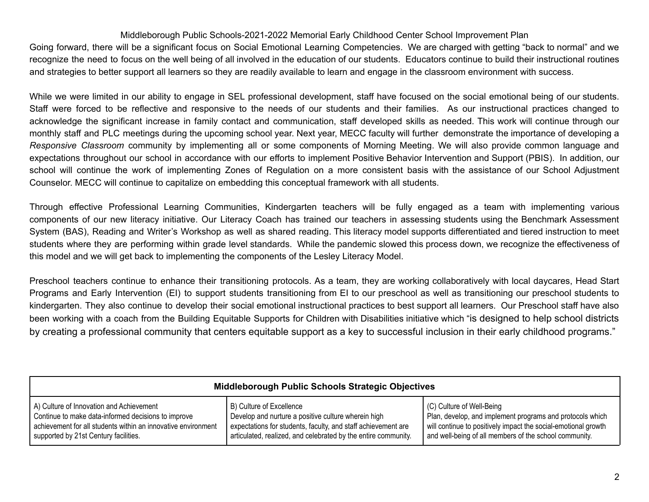Going forward, there will be a significant focus on Social Emotional Learning Competencies. We are charged with getting "back to normal" and we recognize the need to focus on the well being of all involved in the education of our students. Educators continue to build their instructional routines and strategies to better support all learners so they are readily available to learn and engage in the classroom environment with success.

While we were limited in our ability to engage in SEL professional development, staff have focused on the social emotional being of our students. Staff were forced to be reflective and responsive to the needs of our students and their families. As our instructional practices changed to acknowledge the significant increase in family contact and communication, staff developed skills as needed. This work will continue through our monthly staff and PLC meetings during the upcoming school year. Next year, MECC faculty will further demonstrate the importance of developing a *Responsive Classroom* community by implementing all or some components of Morning Meeting. We will also provide common language and expectations throughout our school in accordance with our efforts to implement Positive Behavior Intervention and Support (PBIS). In addition, our school will continue the work of implementing Zones of Regulation on a more consistent basis with the assistance of our School Adjustment Counselor. MECC will continue to capitalize on embedding this conceptual framework with all students.

Through effective Professional Learning Communities, Kindergarten teachers will be fully engaged as a team with implementing various components of our new literacy initiative. Our Literacy Coach has trained our teachers in assessing students using the Benchmark Assessment System (BAS), Reading and Writer's Workshop as well as shared reading. This literacy model supports differentiated and tiered instruction to meet students where they are performing within grade level standards. While the pandemic slowed this process down, we recognize the effectiveness of this model and we will get back to implementing the components of the Lesley Literacy Model.

Preschool teachers continue to enhance their transitioning protocols. As a team, they are working collaboratively with local daycares, Head Start Programs and Early Intervention (EI) to support students transitioning from EI to our preschool as well as transitioning our preschool students to kindergarten. They also continue to develop their social emotional instructional practices to best support all learners. Our Preschool staff have also been working with a coach from the Building Equitable Supports for Children with Disabilities initiative which "is designed to help school districts by creating a professional community that centers equitable support as a key to successful inclusion in their early childhood programs."

| Middleborough Public Schools Strategic Objectives             |                                                                |                                                                |  |  |
|---------------------------------------------------------------|----------------------------------------------------------------|----------------------------------------------------------------|--|--|
| A) Culture of Innovation and Achievement                      | B) Culture of Excellence                                       | (C) Culture of Well-Being                                      |  |  |
| Continue to make data-informed decisions to improve           | Develop and nurture a positive culture wherein high            | Plan, develop, and implement programs and protocols which      |  |  |
| achievement for all students within an innovative environment | expectations for students, faculty, and staff achievement are  | will continue to positively impact the social-emotional growth |  |  |
| supported by 21st Century facilities.                         | articulated, realized, and celebrated by the entire community. | and well-being of all members of the school community.         |  |  |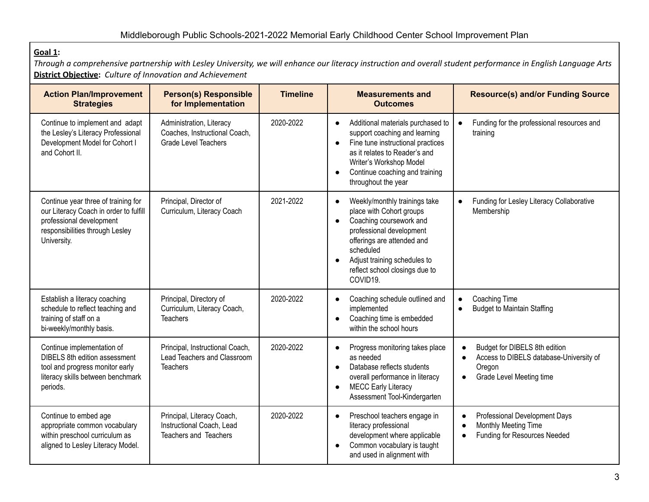## **Goal 1:**

Through a comprehensive partnership with Lesley University, we will enhance our literacy instruction and overall student performance in English Language Arts **District Objective:** *Culture of Innovation and Achievement*

| <b>Action Plan/Improvement</b><br><b>Strategies</b>                                                                                                         | <b>Person(s) Responsible</b><br>for Implementation                                       | <b>Timeline</b> | <b>Measurements and</b><br><b>Outcomes</b>                                                                                                                                                                                                                                       | <b>Resource(s) and/or Funding Source</b>                                                                       |
|-------------------------------------------------------------------------------------------------------------------------------------------------------------|------------------------------------------------------------------------------------------|-----------------|----------------------------------------------------------------------------------------------------------------------------------------------------------------------------------------------------------------------------------------------------------------------------------|----------------------------------------------------------------------------------------------------------------|
| Continue to implement and adapt<br>the Lesley's Literacy Professional<br>Development Model for Cohort I<br>and Cohort II.                                   | Administration, Literacy<br>Coaches, Instructional Coach,<br><b>Grade Level Teachers</b> | 2020-2022       | Additional materials purchased to<br>$\bullet$<br>support coaching and learning<br>Fine tune instructional practices<br>$\bullet$<br>as it relates to Reader's and<br>Writer's Workshop Model<br>Continue coaching and training<br>$\bullet$<br>throughout the year              | Funding for the professional resources and<br>$\bullet$<br>training                                            |
| Continue year three of training for<br>our Literacy Coach in order to fulfill<br>professional development<br>responsibilities through Lesley<br>University. | Principal, Director of<br>Curriculum, Literacy Coach                                     | 2021-2022       | Weekly/monthly trainings take<br>$\bullet$<br>place with Cohort groups<br>Coaching coursework and<br>$\bullet$<br>professional development<br>offerings are attended and<br>scheduled<br>Adjust training schedules to<br>$\bullet$<br>reflect school closings due to<br>COVID19. | Funding for Lesley Literacy Collaborative<br>$\bullet$<br>Membership                                           |
| Establish a literacy coaching<br>schedule to reflect teaching and<br>training of staff on a<br>bi-weekly/monthly basis.                                     | Principal, Directory of<br>Curriculum, Literacy Coach,<br><b>Teachers</b>                | 2020-2022       | Coaching schedule outlined and<br>$\bullet$<br>implemented<br>Coaching time is embedded<br>within the school hours                                                                                                                                                               | Coaching Time<br>$\bullet$<br><b>Budget to Maintain Staffing</b><br>$\bullet$                                  |
| Continue implementation of<br><b>DIBELS</b> 8th edition assessment<br>tool and progress monitor early<br>literacy skills between benchmark<br>periods.      | Principal, Instructional Coach,<br>Lead Teachers and Classroom<br><b>Teachers</b>        | 2020-2022       | Progress monitoring takes place<br>as needed<br>Database reflects students<br>$\bullet$<br>overall performance in literacy<br><b>MECC Early Literacy</b><br>$\bullet$<br>Assessment Tool-Kindergarten                                                                            | Budget for DIBELS 8th edition<br>Access to DIBELS database-University of<br>Oregon<br>Grade Level Meeting time |
| Continue to embed age<br>appropriate common vocabulary<br>within preschool curriculum as<br>aligned to Lesley Literacy Model.                               | Principal, Literacy Coach,<br>Instructional Coach, Lead<br>Teachers and Teachers         | 2020-2022       | Preschool teachers engage in<br>$\bullet$<br>literacy professional<br>development where applicable<br>Common vocabulary is taught<br>and used in alignment with                                                                                                                  | Professional Development Days<br>Monthly Meeting Time<br>Funding for Resources Needed                          |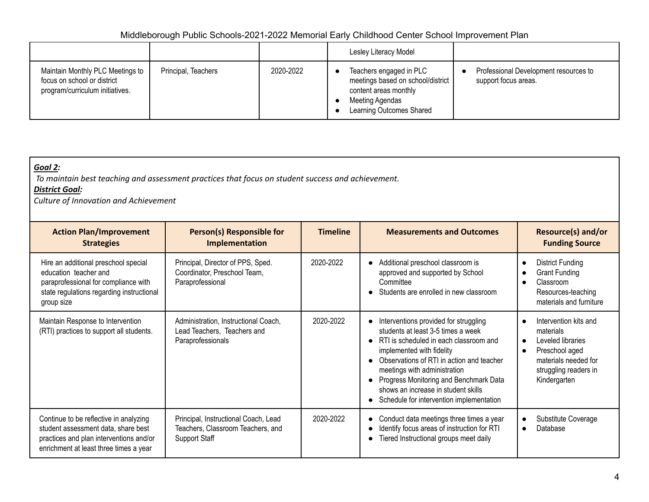|                                                                                                    |                     |           | Lesley Literacy Model                                                                                                                |                                                               |
|----------------------------------------------------------------------------------------------------|---------------------|-----------|--------------------------------------------------------------------------------------------------------------------------------------|---------------------------------------------------------------|
| Maintain Monthly PLC Meetings to<br>focus on school or district<br>program/curriculum initiatives. | Principal, Teachers | 2020-2022 | Teachers engaged in PLC<br>meetings based on school/district<br>content areas monthly<br>Meeting Agendas<br>Learning Outcomes Shared | Professional Development resources to<br>support focus areas. |

| Goal 2:<br><b>District Goal:</b><br>Culture of Innovation and Achievement                                                                                          | To maintain best teaching and assessment practices that focus on student success and achievement. |                 |                                                                                                                                                                                                                                                                                                                                                                                          |                                                                                                                                                                                   |
|--------------------------------------------------------------------------------------------------------------------------------------------------------------------|---------------------------------------------------------------------------------------------------|-----------------|------------------------------------------------------------------------------------------------------------------------------------------------------------------------------------------------------------------------------------------------------------------------------------------------------------------------------------------------------------------------------------------|-----------------------------------------------------------------------------------------------------------------------------------------------------------------------------------|
| <b>Action Plan/Improvement</b><br><b>Strategies</b>                                                                                                                | Person(s) Responsible for<br>Implementation                                                       | <b>Timeline</b> | <b>Measurements and Outcomes</b>                                                                                                                                                                                                                                                                                                                                                         | <b>Resource(s) and/or</b><br><b>Funding Source</b>                                                                                                                                |
| Hire an additional preschool special<br>education teacher and<br>paraprofessional for compliance with<br>state regulations regarding instructional<br>group size   | Principal, Director of PPS, Sped.<br>Coordinator, Preschool Team,<br>Paraprofessional             | 2020-2022       | Additional preschool classroom is<br>$\bullet$<br>approved and supported by School<br>Committee<br>Students are enrolled in new classroom                                                                                                                                                                                                                                                | <b>District Funding</b><br>$\bullet$<br><b>Grant Funding</b><br>$\bullet$<br>Classroom<br>Resources-teaching<br>materials and furniture                                           |
| Maintain Response to Intervention<br>(RTI) practices to support all students.                                                                                      | Administration, Instructional Coach,<br>Lead Teachers, Teachers and<br>Paraprofessionals          | 2020-2022       | Interventions provided for struggling<br>$\bullet$<br>students at least 3-5 times a week<br>• RTI is scheduled in each classroom and<br>implemented with fidelity<br>Observations of RTI in action and teacher<br>meetings with administration<br>Progress Monitoring and Benchmark Data<br>shows an increase in student skills<br>Schedule for intervention implementation<br>$\bullet$ | Intervention kits and<br>$\bullet$<br>materials<br>Leveled libraries<br>$\bullet$<br>Preschool aged<br>$\bullet$<br>materials needed for<br>struggling readers in<br>Kindergarten |
| Continue to be reflective in analyzing<br>student assessment data, share best<br>practices and plan interventions and/or<br>enrichment at least three times a year | Principal, Instructional Coach, Lead<br>Teachers, Classroom Teachers, and<br><b>Support Staff</b> | 2020-2022       | Conduct data meetings three times a year<br>$\bullet$<br>Identify focus areas of instruction for RTI<br>Tiered Instructional groups meet daily<br>$\bullet$                                                                                                                                                                                                                              | Substitute Coverage<br>$\bullet$<br>Database<br>$\bullet$                                                                                                                         |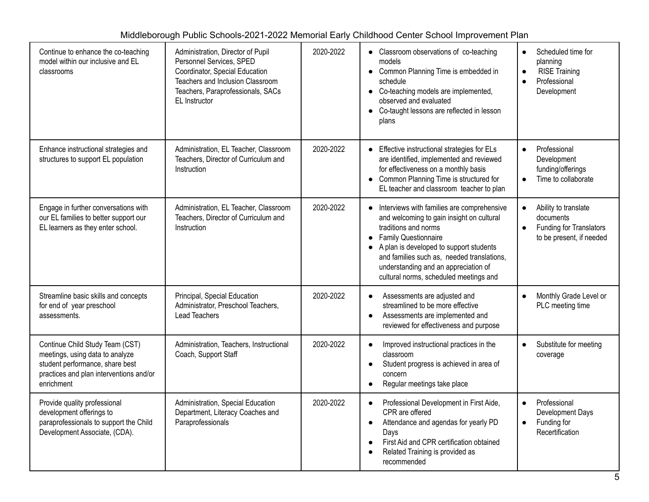| Continue to enhance the co-teaching<br>model within our inclusive and EL<br>classrooms                                                                         | Administration, Director of Pupil<br>Personnel Services, SPED<br>Coordinator, Special Education<br>Teachers and Inclusion Classroom<br>Teachers, Paraprofessionals, SACs<br>EL Instructor | 2020-2022 | • Classroom observations of co-teaching<br>models<br>• Common Planning Time is embedded in<br>schedule<br>• Co-teaching models are implemented,<br>observed and evaluated<br>Co-taught lessons are reflected in lesson<br>$\bullet$<br>plans                                                                                  | Scheduled time for<br>$\bullet$<br>planning<br><b>RISE Training</b><br>$\bullet$<br>Professional<br>$\bullet$<br>Development |
|----------------------------------------------------------------------------------------------------------------------------------------------------------------|-------------------------------------------------------------------------------------------------------------------------------------------------------------------------------------------|-----------|-------------------------------------------------------------------------------------------------------------------------------------------------------------------------------------------------------------------------------------------------------------------------------------------------------------------------------|------------------------------------------------------------------------------------------------------------------------------|
| Enhance instructional strategies and<br>structures to support EL population                                                                                    | Administration, EL Teacher, Classroom<br>Teachers, Director of Curriculum and<br>Instruction                                                                                              | 2020-2022 | Effective instructional strategies for ELs<br>$\bullet$<br>are identified, implemented and reviewed<br>for effectiveness on a monthly basis<br>• Common Planning Time is structured for<br>EL teacher and classroom teacher to plan                                                                                           | Professional<br>$\bullet$<br>Development<br>funding/offerings<br>Time to collaborate<br>$\bullet$                            |
| Engage in further conversations with<br>our EL families to better support our<br>EL learners as they enter school.                                             | Administration, EL Teacher, Classroom<br>Teachers, Director of Curriculum and<br>Instruction                                                                                              | 2020-2022 | • Interviews with families are comprehensive<br>and welcoming to gain insight on cultural<br>traditions and norms<br><b>Family Questionnaire</b><br>• A plan is developed to support students<br>and families such as, needed translations,<br>understanding and an appreciation of<br>cultural norms, scheduled meetings and | Ability to translate<br>$\bullet$<br>documents<br><b>Funding for Translators</b><br>$\bullet$<br>to be present, if needed    |
| Streamline basic skills and concepts<br>for end of year preschool<br>assessments.                                                                              | Principal, Special Education<br>Administrator, Preschool Teachers,<br>Lead Teachers                                                                                                       | 2020-2022 | Assessments are adjusted and<br>$\bullet$<br>streamlined to be more effective<br>Assessments are implemented and<br>$\bullet$<br>reviewed for effectiveness and purpose                                                                                                                                                       | Monthly Grade Level or<br>$\bullet$<br>PLC meeting time                                                                      |
| Continue Child Study Team (CST)<br>meetings, using data to analyze<br>student performance, share best<br>practices and plan interventions and/or<br>enrichment | Administration, Teachers, Instructional<br>Coach, Support Staff                                                                                                                           | 2020-2022 | Improved instructional practices in the<br>$\bullet$<br>classroom<br>Student progress is achieved in area of<br>concern<br>Regular meetings take place<br>$\bullet$                                                                                                                                                           | Substitute for meeting<br>$\bullet$<br>coverage                                                                              |
| Provide quality professional<br>development offerings to<br>paraprofessionals to support the Child<br>Development Associate, (CDA).                            | Administration, Special Education<br>Department, Literacy Coaches and<br>Paraprofessionals                                                                                                | 2020-2022 | Professional Development in First Aide,<br>$\bullet$<br>CPR are offered<br>Attendance and agendas for yearly PD<br>$\bullet$<br>Days<br>First Aid and CPR certification obtained<br>Related Training is provided as<br>recommended                                                                                            | Professional<br>$\bullet$<br>Development Days<br>Funding for<br>$\bullet$<br>Recertification                                 |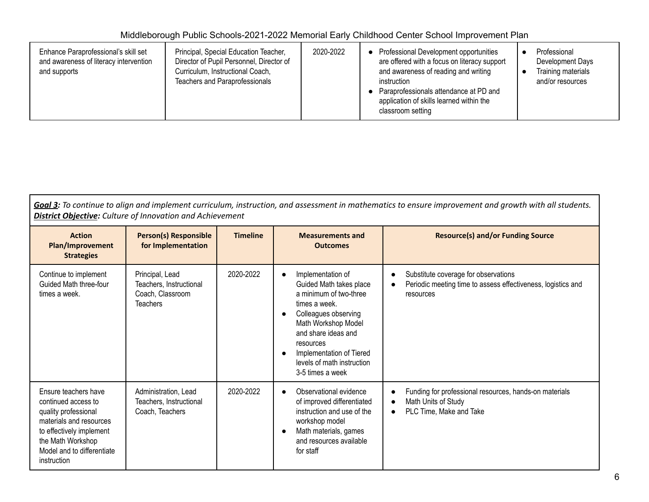| Enhance Paraprofessional's skill set<br>and awareness of literacy intervention<br>and supports | Principal, Special Education Teacher,<br>Director of Pupil Personnel, Director of<br>Curriculum, Instructional Coach,<br><b>Teachers and Paraprofessionals</b> | 2020-2022 | Professional Development opportunities<br>are offered with a focus on literacy support<br>and awareness of reading and writing<br>instruction<br>Paraprofessionals attendance at PD and<br>application of skills learned within the<br>classroom setting | Professional<br>Development Days<br>Training materials<br>and/or resources |
|------------------------------------------------------------------------------------------------|----------------------------------------------------------------------------------------------------------------------------------------------------------------|-----------|----------------------------------------------------------------------------------------------------------------------------------------------------------------------------------------------------------------------------------------------------------|----------------------------------------------------------------------------|
|------------------------------------------------------------------------------------------------|----------------------------------------------------------------------------------------------------------------------------------------------------------------|-----------|----------------------------------------------------------------------------------------------------------------------------------------------------------------------------------------------------------------------------------------------------------|----------------------------------------------------------------------------|

Goal 3: To continue to align and implement curriculum, instruction, and assessment in mathematics to ensure improvement and growth with all students. *District Objective: Culture of Innovation and Achievement*

| <b>Action</b><br>Plan/Improvement<br><b>Strategies</b>                                                                                                                                       | <b>Person(s) Responsible</b><br>for Implementation                                | <b>Timeline</b> | <b>Measurements and</b><br><b>Outcomes</b>                                                                                                                                                                                                                                                      | <b>Resource(s) and/or Funding Source</b>                                                                          |
|----------------------------------------------------------------------------------------------------------------------------------------------------------------------------------------------|-----------------------------------------------------------------------------------|-----------------|-------------------------------------------------------------------------------------------------------------------------------------------------------------------------------------------------------------------------------------------------------------------------------------------------|-------------------------------------------------------------------------------------------------------------------|
| Continue to implement<br>Guided Math three-four<br>times a week.                                                                                                                             | Principal, Lead<br>Teachers, Instructional<br>Coach, Classroom<br><b>Teachers</b> | 2020-2022       | Implementation of<br>$\bullet$<br>Guided Math takes place<br>a minimum of two-three<br>times a week.<br>Colleagues observing<br>$\bullet$<br>Math Workshop Model<br>and share ideas and<br>resources<br>Implementation of Tiered<br>$\bullet$<br>levels of math instruction<br>3-5 times a week | Substitute coverage for observations<br>Periodic meeting time to assess effectiveness, logistics and<br>resources |
| Ensure teachers have<br>continued access to<br>quality professional<br>materials and resources<br>to effectively implement<br>the Math Workshop<br>Model and to differentiate<br>instruction | Administration, Lead<br>Teachers, Instructional<br>Coach, Teachers                | 2020-2022       | Observational evidence<br>$\bullet$<br>of improved differentiated<br>instruction and use of the<br>workshop model<br>Math materials, games<br>$\bullet$<br>and resources available<br>for staff                                                                                                 | Funding for professional resources, hands-on materials<br>Math Units of Study<br>PLC Time, Make and Take          |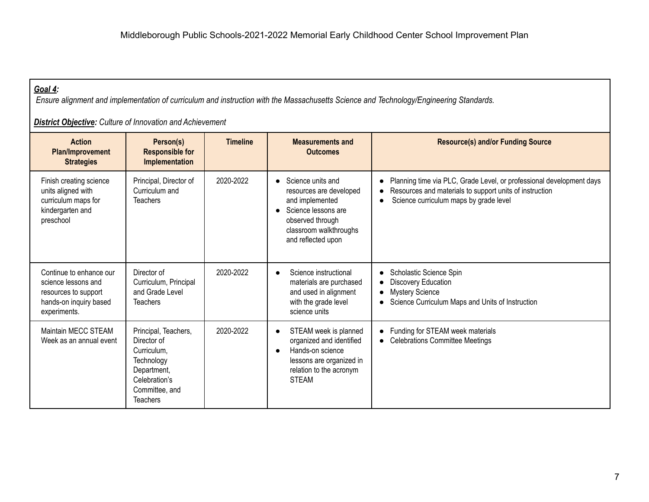# *Goal 4:*

Ensure alignment and implementation of curriculum and instruction with the Massachusetts Science and Technology/Engineering Standards.

*District Objective: Culture of Innovation and Achievement*

| <b>Action</b><br><b>Plan/Improvement</b><br><b>Strategies</b>                                                    | Person(s)<br><b>Responsible for</b><br>Implementation                                                                                 | <b>Timeline</b> | <b>Measurements and</b><br><b>Outcomes</b>                                                                                                                   | <b>Resource(s) and/or Funding Source</b>                                                                                                                                  |
|------------------------------------------------------------------------------------------------------------------|---------------------------------------------------------------------------------------------------------------------------------------|-----------------|--------------------------------------------------------------------------------------------------------------------------------------------------------------|---------------------------------------------------------------------------------------------------------------------------------------------------------------------------|
| Finish creating science<br>units aligned with<br>curriculum maps for<br>kindergarten and<br>preschool            | Principal, Director of<br>Curriculum and<br><b>Teachers</b>                                                                           | 2020-2022       | • Science units and<br>resources are developed<br>and implemented<br>Science lessons are<br>observed through<br>classroom walkthroughs<br>and reflected upon | Planning time via PLC, Grade Level, or professional development days<br>Resources and materials to support units of instruction<br>Science curriculum maps by grade level |
| Continue to enhance our<br>science lessons and<br>resources to support<br>hands-on inquiry based<br>experiments. | Director of<br>Curriculum, Principal<br>and Grade Level<br><b>Teachers</b>                                                            | 2020-2022       | Science instructional<br>materials are purchased<br>and used in alignment<br>with the grade level<br>science units                                           | Scholastic Science Spin<br>$\bullet$<br>Discovery Education<br><b>Mystery Science</b><br>$\bullet$<br>Science Curriculum Maps and Units of Instruction                    |
| Maintain MECC STEAM<br>Week as an annual event                                                                   | Principal, Teachers,<br>Director of<br>Curriculum.<br>Technology<br>Department,<br>Celebration's<br>Committee, and<br><b>Teachers</b> | 2020-2022       | STEAM week is planned<br>organized and identified<br>Hands-on science<br>lessons are organized in<br>relation to the acronym<br><b>STEAM</b>                 | Funding for STEAM week materials<br>$\bullet$<br><b>Celebrations Committee Meetings</b><br>$\bullet$                                                                      |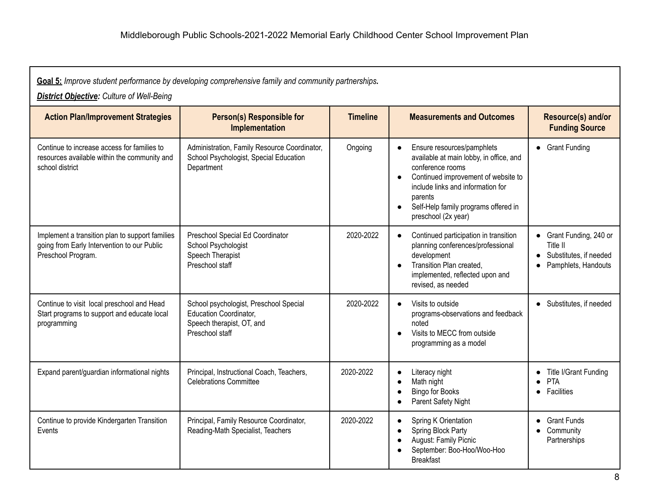| Goal 5: Improve student performance by developing comprehensive family and community partnerships.<br><b>District Objective:</b> Culture of Well-Being |                                                                                                                  |                 |                                                                                                                                                                                                                                                                                        |                                                                                        |  |
|--------------------------------------------------------------------------------------------------------------------------------------------------------|------------------------------------------------------------------------------------------------------------------|-----------------|----------------------------------------------------------------------------------------------------------------------------------------------------------------------------------------------------------------------------------------------------------------------------------------|----------------------------------------------------------------------------------------|--|
| <b>Action Plan/Improvement Strategies</b>                                                                                                              | <b>Person(s) Responsible for</b><br><b>Implementation</b>                                                        | <b>Timeline</b> | <b>Measurements and Outcomes</b>                                                                                                                                                                                                                                                       | Resource(s) and/or<br><b>Funding Source</b>                                            |  |
| Continue to increase access for families to<br>resources available within the community and<br>school district                                         | Administration, Family Resource Coordinator,<br>School Psychologist, Special Education<br>Department             | Ongoing         | Ensure resources/pamphlets<br>$\bullet$<br>available at main lobby, in office, and<br>conference rooms<br>Continued improvement of website to<br>$\bullet$<br>include links and information for<br>parents<br>Self-Help family programs offered in<br>$\bullet$<br>preschool (2x year) | • Grant Funding                                                                        |  |
| Implement a transition plan to support families<br>going from Early Intervention to our Public<br>Preschool Program.                                   | Preschool Special Ed Coordinator<br>School Psychologist<br>Speech Therapist<br>Preschool staff                   | 2020-2022       | Continued participation in transition<br>$\bullet$<br>planning conferences/professional<br>development<br>Transition Plan created,<br>$\bullet$<br>implemented, reflected upon and<br>revised, as needed                                                                               | • Grant Funding, 240 or<br>Title II<br>• Substitutes, if needed<br>Pamphlets, Handouts |  |
| Continue to visit local preschool and Head<br>Start programs to support and educate local<br>programming                                               | School psychologist, Preschool Special<br>Education Coordinator,<br>Speech therapist, OT, and<br>Preschool staff | 2020-2022       | Visits to outside<br>$\bullet$<br>programs-observations and feedback<br>noted<br>Visits to MECC from outside<br>programming as a model                                                                                                                                                 | • Substitutes, if needed                                                               |  |
| Expand parent/guardian informational nights                                                                                                            | Principal, Instructional Coach, Teachers,<br><b>Celebrations Committee</b>                                       | 2020-2022       | Literacy night<br>$\bullet$<br>Math night<br>$\bullet$<br>Bingo for Books<br>$\bullet$<br>Parent Safety Night<br>$\bullet$                                                                                                                                                             | Title I/Grant Funding<br><b>PTA</b><br>Facilities<br>$\bullet$                         |  |
| Continue to provide Kindergarten Transition<br>Events                                                                                                  | Principal, Family Resource Coordinator,<br>Reading-Math Specialist, Teachers                                     | 2020-2022       | Spring K Orientation<br>$\bullet$<br>Spring Block Party<br>$\bullet$<br>August: Family Picnic<br>$\bullet$<br>September: Boo-Hoo/Woo-Hoo<br><b>Breakfast</b>                                                                                                                           | <b>Grant Funds</b><br>Community<br>Partnerships                                        |  |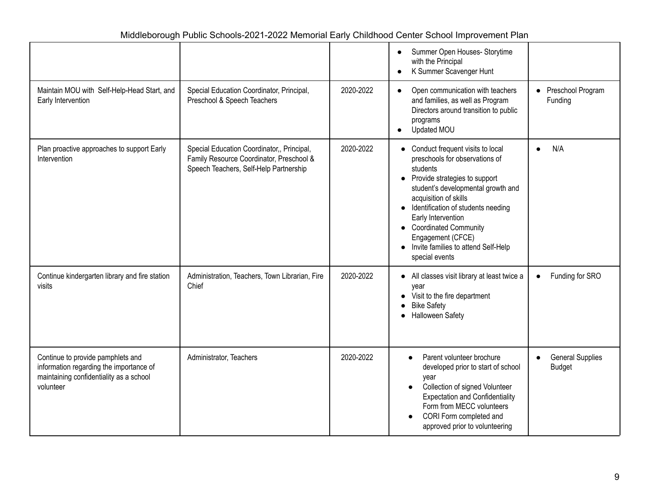|                                                                                                                                      |                                                                                                                                  |           | Summer Open Houses- Storytime<br>with the Principal<br>K Summer Scavenger Hunt<br>$\bullet$                                                                                                                                                                                                                                                                                                             |                                          |
|--------------------------------------------------------------------------------------------------------------------------------------|----------------------------------------------------------------------------------------------------------------------------------|-----------|---------------------------------------------------------------------------------------------------------------------------------------------------------------------------------------------------------------------------------------------------------------------------------------------------------------------------------------------------------------------------------------------------------|------------------------------------------|
| Maintain MOU with Self-Help-Head Start, and<br>Early Intervention                                                                    | Special Education Coordinator, Principal,<br>Preschool & Speech Teachers                                                         | 2020-2022 | Open communication with teachers<br>$\bullet$<br>and families, as well as Program<br>Directors around transition to public<br>programs<br>Updated MOU                                                                                                                                                                                                                                                   | • Preschool Program<br>Funding           |
| Plan proactive approaches to support Early<br>Intervention                                                                           | Special Education Coordinator,, Principal,<br>Family Resource Coordinator, Preschool &<br>Speech Teachers, Self-Help Partnership | 2020-2022 | Conduct frequent visits to local<br>$\bullet$<br>preschools for observations of<br>students<br>Provide strategies to support<br>$\bullet$<br>student's developmental growth and<br>acquisition of skills<br>Identification of students needing<br>$\bullet$<br>Early Intervention<br>• Coordinated Community<br>Engagement (CFCE)<br>Invite families to attend Self-Help<br>$\bullet$<br>special events | N/A<br>$\bullet$                         |
| Continue kindergarten library and fire station<br>visits                                                                             | Administration, Teachers, Town Librarian, Fire<br>Chief                                                                          | 2020-2022 | All classes visit library at least twice a<br>$\bullet$<br>vear<br>Visit to the fire department<br><b>Bike Safety</b><br><b>Halloween Safety</b>                                                                                                                                                                                                                                                        | Funding for SRO<br>$\bullet$             |
| Continue to provide pamphlets and<br>information regarding the importance of<br>maintaining confidentiality as a school<br>volunteer | Administrator, Teachers                                                                                                          | 2020-2022 | Parent volunteer brochure<br>$\bullet$<br>developed prior to start of school<br>year<br>Collection of signed Volunteer<br><b>Expectation and Confidentiality</b><br>Form from MECC volunteers<br>CORI Form completed and<br>approved prior to volunteering                                                                                                                                              | <b>General Supplies</b><br><b>Budget</b> |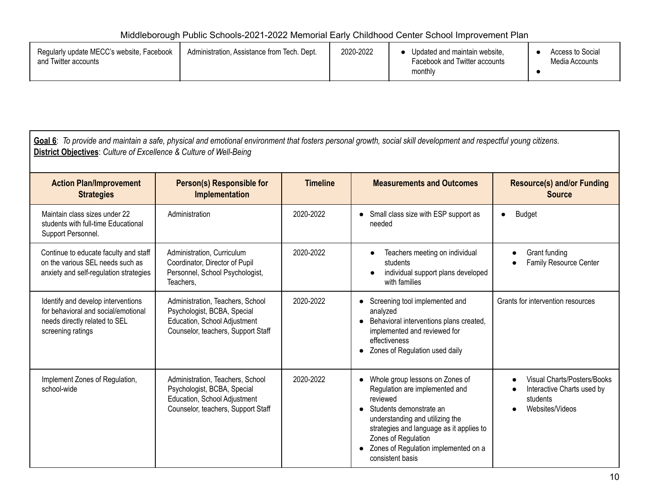| Regularly update MECC's website, Facebook<br>and Twitter accounts | Administration. Assistance from Tech. Dept. | 2020-2022 | Updated and maintain website,<br>Facebook and Twitter accounts<br>monthly | Access to Social<br>Media Accounts |
|-------------------------------------------------------------------|---------------------------------------------|-----------|---------------------------------------------------------------------------|------------------------------------|
|                                                                   |                                             |           |                                                                           |                                    |

 $\mathsf I$ 

| Goal 6: To provide and maintain a safe, physical and emotional environment that fosters personal growth, social skill development and respectful young citizens.<br>District Objectives: Culture of Excellence & Culture of Well-Being |                                                                                                                                       |                 |                                                                                                                                                                                                                                                                                |                                                                                                       |
|----------------------------------------------------------------------------------------------------------------------------------------------------------------------------------------------------------------------------------------|---------------------------------------------------------------------------------------------------------------------------------------|-----------------|--------------------------------------------------------------------------------------------------------------------------------------------------------------------------------------------------------------------------------------------------------------------------------|-------------------------------------------------------------------------------------------------------|
| <b>Action Plan/Improvement</b><br><b>Strategies</b>                                                                                                                                                                                    | Person(s) Responsible for<br>Implementation                                                                                           | <b>Timeline</b> | <b>Measurements and Outcomes</b>                                                                                                                                                                                                                                               | <b>Resource(s) and/or Funding</b><br><b>Source</b>                                                    |
| Maintain class sizes under 22<br>students with full-time Educational<br>Support Personnel.                                                                                                                                             | Administration                                                                                                                        | 2020-2022       | • Small class size with ESP support as<br>needed                                                                                                                                                                                                                               | <b>Budget</b>                                                                                         |
| Continue to educate faculty and staff<br>on the various SEL needs such as<br>anxiety and self-regulation strategies                                                                                                                    | Administration, Curriculum<br>Coordinator, Director of Pupil<br>Personnel, School Psychologist,<br>Teachers,                          | 2020-2022       | Teachers meeting on individual<br>$\bullet$<br>students<br>individual support plans developed<br>with families                                                                                                                                                                 | Grant funding<br>$\bullet$<br>Family Resource Center<br>$\bullet$                                     |
| Identify and develop interventions<br>for behavioral and social/emotional<br>needs directly related to SEL<br>screening ratings                                                                                                        | Administration, Teachers, School<br>Psychologist, BCBA, Special<br>Education, School Adjustment<br>Counselor, teachers, Support Staff | 2020-2022       | Screening tool implemented and<br>$\bullet$<br>analyzed<br>• Behavioral interventions plans created,<br>implemented and reviewed for<br>effectiveness<br>• Zones of Regulation used daily                                                                                      | Grants for intervention resources                                                                     |
| Implement Zones of Regulation,<br>school-wide                                                                                                                                                                                          | Administration, Teachers, School<br>Psychologist, BCBA, Special<br>Education, School Adjustment<br>Counselor, teachers, Support Staff | 2020-2022       | Whole group lessons on Zones of<br>Regulation are implemented and<br>reviewed<br>• Students demonstrate an<br>understanding and utilizing the<br>strategies and language as it applies to<br>Zones of Regulation<br>• Zones of Regulation implemented on a<br>consistent basis | Visual Charts/Posters/Books<br>$\bullet$<br>Interactive Charts used by<br>students<br>Websites/Videos |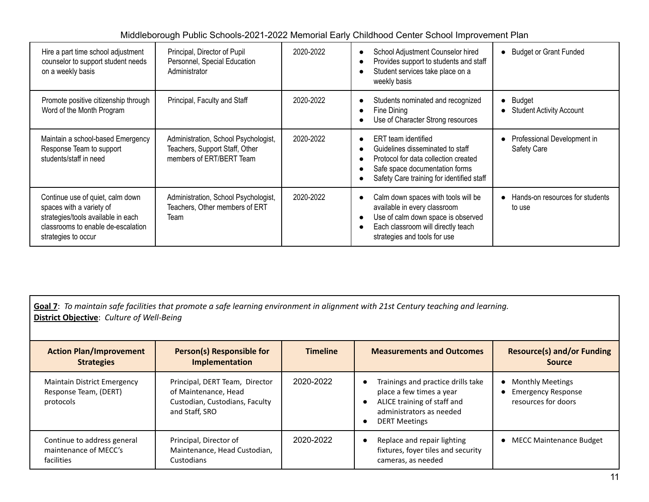| Hire a part time school adjustment<br>counselor to support student needs<br>on a weekly basis                                                                   | Principal, Director of Pupil<br>Personnel, Special Education<br>Administrator                      | 2020-2022 | School Adjustment Counselor hired<br>$\bullet$<br>Provides support to students and staff<br>Student services take place on a<br>weekly basis                                    | • Budget or Grant Funded                    |
|-----------------------------------------------------------------------------------------------------------------------------------------------------------------|----------------------------------------------------------------------------------------------------|-----------|---------------------------------------------------------------------------------------------------------------------------------------------------------------------------------|---------------------------------------------|
| Promote positive citizenship through<br>Word of the Month Program                                                                                               | Principal, Faculty and Staff                                                                       | 2020-2022 | Students nominated and recognized<br>Fine Dining<br>Use of Character Strong resources                                                                                           | • Budget<br>• Student Activity Account      |
| Maintain a school-based Emergency<br>Response Team to support<br>students/staff in need                                                                         | Administration, School Psychologist,<br>Teachers, Support Staff, Other<br>members of ERT/BERT Team | 2020-2022 | ERT team identified<br>Guidelines disseminated to staff<br>Protocol for data collection created<br>Safe space documentation forms<br>Safety Care training for identified staff  | Professional Development in<br>Safety Care  |
| Continue use of quiet, calm down<br>spaces with a variety of<br>strategies/tools available in each<br>classrooms to enable de-escalation<br>strategies to occur | Administration, School Psychologist,<br>Teachers, Other members of ERT<br>Team                     | 2020-2022 | Calm down spaces with tools will be<br>available in every classroom<br>Use of calm down space is observed<br>Each classroom will directly teach<br>strategies and tools for use | • Hands-on resources for students<br>to use |

Goal 7: To maintain safe facilities that promote a safe learning environment in alignment with 21st Century teaching and learning. **District Objective**: *Culture of Well-Being*

| <b>Action Plan/Improvement</b><br><b>Strategies</b>                      | Person(s) Responsible for<br>Implementation                                                                | <b>Timeline</b> | <b>Measurements and Outcomes</b>                                                                                                                         | <b>Resource(s) and/or Funding</b><br><b>Source</b>                          |
|--------------------------------------------------------------------------|------------------------------------------------------------------------------------------------------------|-----------------|----------------------------------------------------------------------------------------------------------------------------------------------------------|-----------------------------------------------------------------------------|
| <b>Maintain District Emergency</b><br>Response Team, (DERT)<br>protocols | Principal, DERT Team, Director<br>of Maintenance, Head<br>Custodian, Custodians, Faculty<br>and Staff, SRO | 2020-2022       | Trainings and practice drills take<br>place a few times a year<br>ALICE training of staff and<br>- 0<br>administrators as needed<br><b>DERT Meetings</b> | <b>Monthly Meetings</b><br><b>Emergency Response</b><br>resources for doors |
| Continue to address general<br>maintenance of MECC's<br>facilities       | Principal, Director of<br>Maintenance, Head Custodian,<br>Custodians                                       | 2020-2022       | Replace and repair lighting<br>$\bullet$<br>fixtures, foyer tiles and security<br>cameras, as needed                                                     | <b>MECC Maintenance Budget</b>                                              |